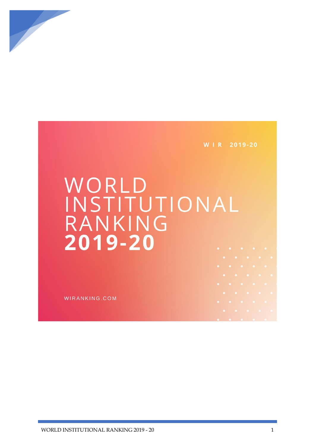

W I R 2019-20

## WORLD INSTITUTIONAL RANKING 2019-20

WIRANKING.COM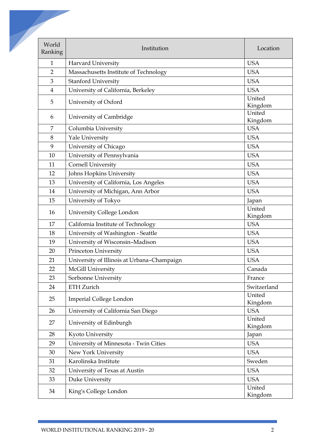| World<br>Institution<br>Harvard University<br><b>USA</b><br>$\mathbf{1}$<br><b>USA</b><br>$\overline{2}$<br>Massachusetts Institute of Technology<br><b>USA</b><br>$\mathfrak{Z}$<br><b>Stanford University</b><br><b>USA</b><br>University of California, Berkeley<br>$\overline{4}$<br>United<br>University of Oxford<br>5<br>United<br>University of Cambridge<br>6<br><b>USA</b><br>$\overline{7}$<br>Columbia University<br>Yale University<br><b>USA</b><br>8<br>9<br>University of Chicago<br><b>USA</b><br>University of Pennsylvania<br><b>USA</b><br>10<br><b>Cornell University</b><br><b>USA</b><br>11<br>Johns Hopkins University<br><b>USA</b><br>12<br>University of California, Los Angeles<br><b>USA</b><br>13<br>University of Michigan, Ann Arbor<br><b>USA</b><br>14<br>University of Tokyo<br>15<br>Japan<br>United<br>University College London<br>16<br><b>USA</b><br>California Institute of Technology<br>17<br>University of Washington - Seattle<br><b>USA</b><br>18<br><b>USA</b><br>19<br>University of Wisconsin-Madison<br>Princeton University<br><b>USA</b><br>20<br>University of Illinois at Urbana-Champaign<br><b>USA</b><br>21<br>McGill University<br>Canada<br>22<br>Sorbonne University<br>France<br>23<br>ETH Zurich<br>24<br>United<br>Imperial College London<br>25<br>University of California San Diego<br><b>USA</b><br>26<br>United<br>University of Edinburgh<br>27<br>28<br>Kyoto University<br>Japan<br>University of Minnesota - Twin Cities<br><b>USA</b><br>29<br>New York University<br><b>USA</b><br>30<br>Karolinska Institute<br>Sweden<br>31<br>University of Texas at Austin<br><b>USA</b><br>32<br>Duke University<br><b>USA</b><br>33<br>United<br>King's College London<br>34 |         |             |
|----------------------------------------------------------------------------------------------------------------------------------------------------------------------------------------------------------------------------------------------------------------------------------------------------------------------------------------------------------------------------------------------------------------------------------------------------------------------------------------------------------------------------------------------------------------------------------------------------------------------------------------------------------------------------------------------------------------------------------------------------------------------------------------------------------------------------------------------------------------------------------------------------------------------------------------------------------------------------------------------------------------------------------------------------------------------------------------------------------------------------------------------------------------------------------------------------------------------------------------------------------------------------------------------------------------------------------------------------------------------------------------------------------------------------------------------------------------------------------------------------------------------------------------------------------------------------------------------------------------------------------------------------------------------------------------------------------------------------------------------|---------|-------------|
|                                                                                                                                                                                                                                                                                                                                                                                                                                                                                                                                                                                                                                                                                                                                                                                                                                                                                                                                                                                                                                                                                                                                                                                                                                                                                                                                                                                                                                                                                                                                                                                                                                                                                                                                              | Ranking | Location    |
|                                                                                                                                                                                                                                                                                                                                                                                                                                                                                                                                                                                                                                                                                                                                                                                                                                                                                                                                                                                                                                                                                                                                                                                                                                                                                                                                                                                                                                                                                                                                                                                                                                                                                                                                              |         |             |
|                                                                                                                                                                                                                                                                                                                                                                                                                                                                                                                                                                                                                                                                                                                                                                                                                                                                                                                                                                                                                                                                                                                                                                                                                                                                                                                                                                                                                                                                                                                                                                                                                                                                                                                                              |         |             |
|                                                                                                                                                                                                                                                                                                                                                                                                                                                                                                                                                                                                                                                                                                                                                                                                                                                                                                                                                                                                                                                                                                                                                                                                                                                                                                                                                                                                                                                                                                                                                                                                                                                                                                                                              |         |             |
|                                                                                                                                                                                                                                                                                                                                                                                                                                                                                                                                                                                                                                                                                                                                                                                                                                                                                                                                                                                                                                                                                                                                                                                                                                                                                                                                                                                                                                                                                                                                                                                                                                                                                                                                              |         |             |
|                                                                                                                                                                                                                                                                                                                                                                                                                                                                                                                                                                                                                                                                                                                                                                                                                                                                                                                                                                                                                                                                                                                                                                                                                                                                                                                                                                                                                                                                                                                                                                                                                                                                                                                                              |         | Kingdom     |
|                                                                                                                                                                                                                                                                                                                                                                                                                                                                                                                                                                                                                                                                                                                                                                                                                                                                                                                                                                                                                                                                                                                                                                                                                                                                                                                                                                                                                                                                                                                                                                                                                                                                                                                                              |         | Kingdom     |
|                                                                                                                                                                                                                                                                                                                                                                                                                                                                                                                                                                                                                                                                                                                                                                                                                                                                                                                                                                                                                                                                                                                                                                                                                                                                                                                                                                                                                                                                                                                                                                                                                                                                                                                                              |         |             |
|                                                                                                                                                                                                                                                                                                                                                                                                                                                                                                                                                                                                                                                                                                                                                                                                                                                                                                                                                                                                                                                                                                                                                                                                                                                                                                                                                                                                                                                                                                                                                                                                                                                                                                                                              |         |             |
|                                                                                                                                                                                                                                                                                                                                                                                                                                                                                                                                                                                                                                                                                                                                                                                                                                                                                                                                                                                                                                                                                                                                                                                                                                                                                                                                                                                                                                                                                                                                                                                                                                                                                                                                              |         |             |
|                                                                                                                                                                                                                                                                                                                                                                                                                                                                                                                                                                                                                                                                                                                                                                                                                                                                                                                                                                                                                                                                                                                                                                                                                                                                                                                                                                                                                                                                                                                                                                                                                                                                                                                                              |         |             |
|                                                                                                                                                                                                                                                                                                                                                                                                                                                                                                                                                                                                                                                                                                                                                                                                                                                                                                                                                                                                                                                                                                                                                                                                                                                                                                                                                                                                                                                                                                                                                                                                                                                                                                                                              |         |             |
|                                                                                                                                                                                                                                                                                                                                                                                                                                                                                                                                                                                                                                                                                                                                                                                                                                                                                                                                                                                                                                                                                                                                                                                                                                                                                                                                                                                                                                                                                                                                                                                                                                                                                                                                              |         |             |
|                                                                                                                                                                                                                                                                                                                                                                                                                                                                                                                                                                                                                                                                                                                                                                                                                                                                                                                                                                                                                                                                                                                                                                                                                                                                                                                                                                                                                                                                                                                                                                                                                                                                                                                                              |         |             |
|                                                                                                                                                                                                                                                                                                                                                                                                                                                                                                                                                                                                                                                                                                                                                                                                                                                                                                                                                                                                                                                                                                                                                                                                                                                                                                                                                                                                                                                                                                                                                                                                                                                                                                                                              |         |             |
|                                                                                                                                                                                                                                                                                                                                                                                                                                                                                                                                                                                                                                                                                                                                                                                                                                                                                                                                                                                                                                                                                                                                                                                                                                                                                                                                                                                                                                                                                                                                                                                                                                                                                                                                              |         |             |
|                                                                                                                                                                                                                                                                                                                                                                                                                                                                                                                                                                                                                                                                                                                                                                                                                                                                                                                                                                                                                                                                                                                                                                                                                                                                                                                                                                                                                                                                                                                                                                                                                                                                                                                                              |         | Kingdom     |
|                                                                                                                                                                                                                                                                                                                                                                                                                                                                                                                                                                                                                                                                                                                                                                                                                                                                                                                                                                                                                                                                                                                                                                                                                                                                                                                                                                                                                                                                                                                                                                                                                                                                                                                                              |         |             |
|                                                                                                                                                                                                                                                                                                                                                                                                                                                                                                                                                                                                                                                                                                                                                                                                                                                                                                                                                                                                                                                                                                                                                                                                                                                                                                                                                                                                                                                                                                                                                                                                                                                                                                                                              |         |             |
|                                                                                                                                                                                                                                                                                                                                                                                                                                                                                                                                                                                                                                                                                                                                                                                                                                                                                                                                                                                                                                                                                                                                                                                                                                                                                                                                                                                                                                                                                                                                                                                                                                                                                                                                              |         |             |
|                                                                                                                                                                                                                                                                                                                                                                                                                                                                                                                                                                                                                                                                                                                                                                                                                                                                                                                                                                                                                                                                                                                                                                                                                                                                                                                                                                                                                                                                                                                                                                                                                                                                                                                                              |         |             |
|                                                                                                                                                                                                                                                                                                                                                                                                                                                                                                                                                                                                                                                                                                                                                                                                                                                                                                                                                                                                                                                                                                                                                                                                                                                                                                                                                                                                                                                                                                                                                                                                                                                                                                                                              |         |             |
|                                                                                                                                                                                                                                                                                                                                                                                                                                                                                                                                                                                                                                                                                                                                                                                                                                                                                                                                                                                                                                                                                                                                                                                                                                                                                                                                                                                                                                                                                                                                                                                                                                                                                                                                              |         |             |
|                                                                                                                                                                                                                                                                                                                                                                                                                                                                                                                                                                                                                                                                                                                                                                                                                                                                                                                                                                                                                                                                                                                                                                                                                                                                                                                                                                                                                                                                                                                                                                                                                                                                                                                                              |         |             |
|                                                                                                                                                                                                                                                                                                                                                                                                                                                                                                                                                                                                                                                                                                                                                                                                                                                                                                                                                                                                                                                                                                                                                                                                                                                                                                                                                                                                                                                                                                                                                                                                                                                                                                                                              |         | Switzerland |
|                                                                                                                                                                                                                                                                                                                                                                                                                                                                                                                                                                                                                                                                                                                                                                                                                                                                                                                                                                                                                                                                                                                                                                                                                                                                                                                                                                                                                                                                                                                                                                                                                                                                                                                                              |         | Kingdom     |
|                                                                                                                                                                                                                                                                                                                                                                                                                                                                                                                                                                                                                                                                                                                                                                                                                                                                                                                                                                                                                                                                                                                                                                                                                                                                                                                                                                                                                                                                                                                                                                                                                                                                                                                                              |         |             |
|                                                                                                                                                                                                                                                                                                                                                                                                                                                                                                                                                                                                                                                                                                                                                                                                                                                                                                                                                                                                                                                                                                                                                                                                                                                                                                                                                                                                                                                                                                                                                                                                                                                                                                                                              |         | Kingdom     |
|                                                                                                                                                                                                                                                                                                                                                                                                                                                                                                                                                                                                                                                                                                                                                                                                                                                                                                                                                                                                                                                                                                                                                                                                                                                                                                                                                                                                                                                                                                                                                                                                                                                                                                                                              |         |             |
|                                                                                                                                                                                                                                                                                                                                                                                                                                                                                                                                                                                                                                                                                                                                                                                                                                                                                                                                                                                                                                                                                                                                                                                                                                                                                                                                                                                                                                                                                                                                                                                                                                                                                                                                              |         |             |
|                                                                                                                                                                                                                                                                                                                                                                                                                                                                                                                                                                                                                                                                                                                                                                                                                                                                                                                                                                                                                                                                                                                                                                                                                                                                                                                                                                                                                                                                                                                                                                                                                                                                                                                                              |         |             |
|                                                                                                                                                                                                                                                                                                                                                                                                                                                                                                                                                                                                                                                                                                                                                                                                                                                                                                                                                                                                                                                                                                                                                                                                                                                                                                                                                                                                                                                                                                                                                                                                                                                                                                                                              |         |             |
|                                                                                                                                                                                                                                                                                                                                                                                                                                                                                                                                                                                                                                                                                                                                                                                                                                                                                                                                                                                                                                                                                                                                                                                                                                                                                                                                                                                                                                                                                                                                                                                                                                                                                                                                              |         |             |
|                                                                                                                                                                                                                                                                                                                                                                                                                                                                                                                                                                                                                                                                                                                                                                                                                                                                                                                                                                                                                                                                                                                                                                                                                                                                                                                                                                                                                                                                                                                                                                                                                                                                                                                                              |         |             |
|                                                                                                                                                                                                                                                                                                                                                                                                                                                                                                                                                                                                                                                                                                                                                                                                                                                                                                                                                                                                                                                                                                                                                                                                                                                                                                                                                                                                                                                                                                                                                                                                                                                                                                                                              |         | Kingdom     |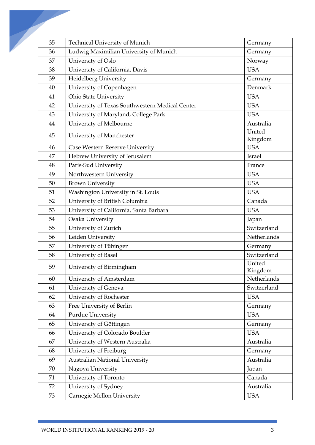| 35 |                                         | Germany                                                                                                                                                                                                                                                                                                                                                                                                                 |
|----|-----------------------------------------|-------------------------------------------------------------------------------------------------------------------------------------------------------------------------------------------------------------------------------------------------------------------------------------------------------------------------------------------------------------------------------------------------------------------------|
| 36 |                                         | Germany                                                                                                                                                                                                                                                                                                                                                                                                                 |
| 37 |                                         | Norway                                                                                                                                                                                                                                                                                                                                                                                                                  |
|    |                                         | <b>USA</b>                                                                                                                                                                                                                                                                                                                                                                                                              |
| 39 |                                         | Germany                                                                                                                                                                                                                                                                                                                                                                                                                 |
| 40 |                                         | Denmark                                                                                                                                                                                                                                                                                                                                                                                                                 |
| 41 |                                         | <b>USA</b>                                                                                                                                                                                                                                                                                                                                                                                                              |
| 42 |                                         | <b>USA</b>                                                                                                                                                                                                                                                                                                                                                                                                              |
| 43 |                                         | <b>USA</b>                                                                                                                                                                                                                                                                                                                                                                                                              |
| 44 |                                         | Australia                                                                                                                                                                                                                                                                                                                                                                                                               |
|    |                                         | United                                                                                                                                                                                                                                                                                                                                                                                                                  |
|    |                                         | Kingdom                                                                                                                                                                                                                                                                                                                                                                                                                 |
| 46 | Case Western Reserve University         | <b>USA</b>                                                                                                                                                                                                                                                                                                                                                                                                              |
| 47 | Hebrew University of Jerusalem          | <b>Israel</b>                                                                                                                                                                                                                                                                                                                                                                                                           |
| 48 | Paris-Sud University                    | France                                                                                                                                                                                                                                                                                                                                                                                                                  |
| 49 | Northwestern University                 | <b>USA</b>                                                                                                                                                                                                                                                                                                                                                                                                              |
| 50 | <b>Brown University</b>                 | <b>USA</b>                                                                                                                                                                                                                                                                                                                                                                                                              |
| 51 | Washington University in St. Louis      | <b>USA</b>                                                                                                                                                                                                                                                                                                                                                                                                              |
| 52 | University of British Columbia          | Canada                                                                                                                                                                                                                                                                                                                                                                                                                  |
| 53 | University of California, Santa Barbara | <b>USA</b>                                                                                                                                                                                                                                                                                                                                                                                                              |
| 54 | Osaka University                        | Japan                                                                                                                                                                                                                                                                                                                                                                                                                   |
| 55 | University of Zurich                    | Switzerland                                                                                                                                                                                                                                                                                                                                                                                                             |
| 56 | Leiden University                       | Netherlands                                                                                                                                                                                                                                                                                                                                                                                                             |
| 57 | University of Tübingen                  | Germany                                                                                                                                                                                                                                                                                                                                                                                                                 |
| 58 | University of Basel                     | Switzerland                                                                                                                                                                                                                                                                                                                                                                                                             |
| 59 | University of Birmingham                | United<br>Kingdom                                                                                                                                                                                                                                                                                                                                                                                                       |
| 60 | University of Amsterdam                 | Netherlands                                                                                                                                                                                                                                                                                                                                                                                                             |
| 61 | University of Geneva                    | Switzerland                                                                                                                                                                                                                                                                                                                                                                                                             |
| 62 | University of Rochester                 | <b>USA</b>                                                                                                                                                                                                                                                                                                                                                                                                              |
| 63 | Free University of Berlin               | Germany                                                                                                                                                                                                                                                                                                                                                                                                                 |
| 64 | Purdue University                       | <b>USA</b>                                                                                                                                                                                                                                                                                                                                                                                                              |
| 65 | University of Göttingen                 | Germany                                                                                                                                                                                                                                                                                                                                                                                                                 |
| 66 | University of Colorado Boulder          | <b>USA</b>                                                                                                                                                                                                                                                                                                                                                                                                              |
| 67 | University of Western Australia         | Australia                                                                                                                                                                                                                                                                                                                                                                                                               |
| 68 |                                         | Germany                                                                                                                                                                                                                                                                                                                                                                                                                 |
| 69 | <b>Australian National University</b>   | Australia                                                                                                                                                                                                                                                                                                                                                                                                               |
| 70 |                                         | Japan                                                                                                                                                                                                                                                                                                                                                                                                                   |
| 71 | University of Toronto                   | Canada                                                                                                                                                                                                                                                                                                                                                                                                                  |
| 72 | University of Sydney                    | Australia                                                                                                                                                                                                                                                                                                                                                                                                               |
| 73 | Carnegie Mellon University              | <b>USA</b>                                                                                                                                                                                                                                                                                                                                                                                                              |
|    | 38<br>45                                | Technical University of Munich<br>Ludwig Maximilian University of Munich<br>University of Oslo<br>University of California, Davis<br>Heidelberg University<br>University of Copenhagen<br><b>Ohio State University</b><br>University of Texas Southwestern Medical Center<br>University of Maryland, College Park<br>University of Melbourne<br>University of Manchester<br>University of Freiburg<br>Nagoya University |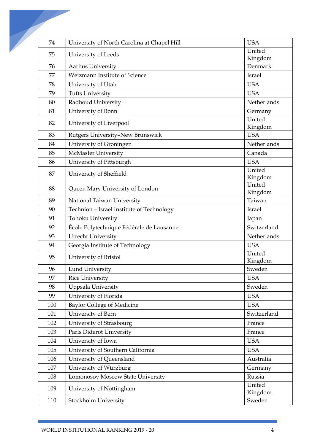| 74  | University of North Carolina at Chapel Hill                 | <b>USA</b>        |
|-----|-------------------------------------------------------------|-------------------|
| 75  | University of Leeds                                         | United            |
|     |                                                             | Kingdom           |
| 76  | Aarhus University                                           | Denmark           |
| 77  | Weizmann Institute of Science                               | Israel            |
| 78  | University of Utah                                          | <b>USA</b>        |
| 79  | <b>Tufts University</b>                                     | <b>USA</b>        |
| 80  | Radboud University                                          | Netherlands       |
| 81  | University of Bonn                                          | Germany           |
| 82  | University of Liverpool                                     | United<br>Kingdom |
| 83  | Rutgers University-New Brunswick                            | <b>USA</b>        |
| 84  | University of Groningen                                     | Netherlands       |
| 85  | McMaster University                                         | Canada            |
| 86  | University of Pittsburgh                                    | <b>USA</b>        |
| 87  | University of Sheffield                                     | United            |
|     |                                                             | Kingdom           |
| 88  | Queen Mary University of London                             | United<br>Kingdom |
| 89  | National Taiwan University                                  | Taiwan            |
| 90  | Technion - Israel Institute of Technology                   | Israel            |
| 91  | Tohoku University                                           | Japan             |
| 92  | École Polytechnique Fédérale de Lausanne                    | Switzerland       |
| 93  | <b>Utrecht University</b>                                   | Netherlands       |
| 94  | Georgia Institute of Technology                             | <b>USA</b>        |
| 95  | University of Bristol                                       | United<br>Kingdom |
| 96  | Lund University                                             | Sweden            |
| 97  | <b>Rice University</b>                                      | <b>USA</b>        |
| 98  | Uppsala University                                          | Sweden            |
| 99  | University of Florida                                       | <b>USA</b>        |
| 100 | <b>Baylor College of Medicine</b>                           | <b>USA</b>        |
| 101 | University of Bern                                          | Switzerland       |
| 102 | University of Strasbourg                                    | France            |
| 103 | Paris Diderot University                                    | France            |
| 104 | University of Iowa                                          | <b>USA</b>        |
| 105 | University of Southern California                           | <b>USA</b>        |
| 106 | University of Queensland                                    | Australia         |
| 107 |                                                             |                   |
| 108 | University of Würzburg<br>Lomonosov Moscow State University | Germany<br>Russia |
|     |                                                             | United            |
| 109 | University of Nottingham                                    | Kingdom           |
| 110 | Stockholm University                                        | Sweden            |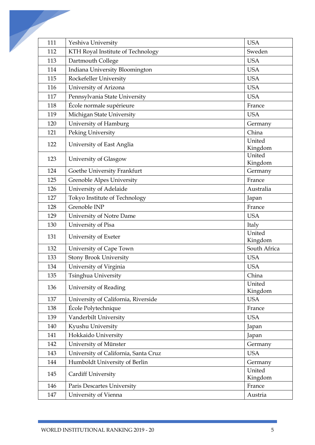| 111 | Yeshiva University                   | <b>USA</b>        |
|-----|--------------------------------------|-------------------|
| 112 | KTH Royal Institute of Technology    | Sweden            |
| 113 | Dartmouth College                    | <b>USA</b>        |
| 114 | Indiana University Bloomington       | <b>USA</b>        |
| 115 | Rockefeller University               | <b>USA</b>        |
| 116 | University of Arizona                | <b>USA</b>        |
| 117 | Pennsylvania State University        | <b>USA</b>        |
| 118 | École normale supérieure             | France            |
| 119 | Michigan State University            | <b>USA</b>        |
| 120 | University of Hamburg                | Germany           |
| 121 | Peking University                    | China             |
|     |                                      | United            |
| 122 | University of East Anglia            | Kingdom           |
| 123 | University of Glasgow                | United            |
|     |                                      | Kingdom           |
| 124 | Goethe University Frankfurt          | Germany           |
| 125 | <b>Grenoble Alpes University</b>     | France            |
| 126 | University of Adelaide               | Australia         |
| 127 | Tokyo Institute of Technology        | Japan             |
| 128 | Grenoble INP                         | France            |
| 129 | University of Notre Dame             | <b>USA</b>        |
| 130 | University of Pisa                   | Italy             |
| 131 | University of Exeter                 | United<br>Kingdom |
| 132 | University of Cape Town              | South Africa      |
| 133 | Stony Brook University               | <b>USA</b>        |
| 134 | University of Virginia               | <b>USA</b>        |
| 135 | Tsinghua University                  | China             |
| 136 | University of Reading                | United<br>Kingdom |
| 137 | University of California, Riverside  | <b>USA</b>        |
| 138 | École Polytechnique                  | France            |
| 139 | Vanderbilt University                | <b>USA</b>        |
| 140 | Kyushu University                    | Japan             |
| 141 | Hokkaido University                  | Japan             |
| 142 | University of Münster                | Germany           |
| 143 | University of California, Santa Cruz | <b>USA</b>        |
| 144 | Humboldt University of Berlin        | Germany           |
| 145 | Cardiff University                   | United<br>Kingdom |
| 146 | Paris Descartes University           | France            |
| 147 | University of Vienna                 | Austria           |
|     |                                      |                   |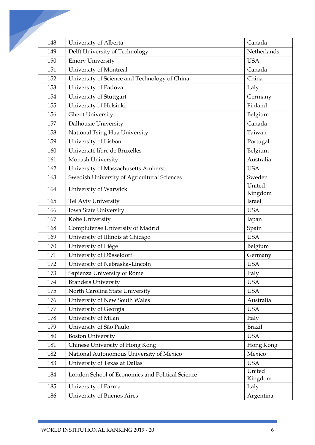| 148 | University of Alberta                            | Canada            |
|-----|--------------------------------------------------|-------------------|
| 149 | Delft University of Technology                   | Netherlands       |
| 150 | <b>Emory University</b>                          | <b>USA</b>        |
| 151 | University of Montreal                           | Canada            |
| 152 | University of Science and Technology of China    | China             |
| 153 | University of Padova                             | Italy             |
| 154 | University of Stuttgart                          | Germany           |
| 155 | University of Helsinki                           | Finland           |
| 156 | <b>Ghent University</b>                          | Belgium           |
| 157 | Dalhousie University                             | Canada            |
| 158 | National Tsing Hua University                    | Taiwan            |
| 159 | University of Lisbon                             | Portugal          |
| 160 | Université libre de Bruxelles                    | Belgium           |
| 161 | Monash University                                | Australia         |
| 162 | University of Massachusetts Amherst              | <b>USA</b>        |
| 163 | Swedish University of Agricultural Sciences      | Sweden            |
| 164 | University of Warwick                            | United<br>Kingdom |
| 165 | Tel Aviv University                              | Israel            |
| 166 | Iowa State University                            | <b>USA</b>        |
| 167 | Kobe University                                  | Japan             |
| 168 | Complutense University of Madrid                 | Spain             |
| 169 | University of Illinois at Chicago                | <b>USA</b>        |
| 170 | University of Liège                              | Belgium           |
| 171 | University of Düsseldorf                         | Germany           |
| 172 | University of Nebraska-Lincoln                   | <b>USA</b>        |
| 173 | Sapienza University of Rome                      | Italy             |
| 174 | <b>Brandeis University</b>                       | <b>USA</b>        |
| 175 | North Carolina State University                  | <b>USA</b>        |
| 176 | University of New South Wales                    | Australia         |
| 177 | University of Georgia                            | <b>USA</b>        |
| 178 | University of Milan                              | Italy             |
| 179 | University of São Paulo                          | <b>Brazil</b>     |
| 180 | <b>Boston University</b>                         | <b>USA</b>        |
| 181 | Chinese University of Hong Kong                  | Hong Kong         |
| 182 | National Autonomous University of Mexico         | Mexico            |
| 183 | University of Texas at Dallas                    | <b>USA</b>        |
| 184 | London School of Economics and Political Science | United<br>Kingdom |
| 185 | University of Parma                              | Italy             |
| 186 | University of Buenos Aires                       | Argentina         |
|     |                                                  |                   |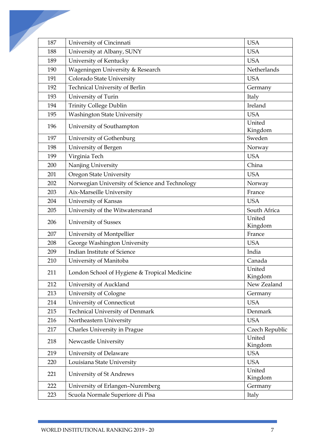| 187 | University of Cincinnati                       | <b>USA</b>        |
|-----|------------------------------------------------|-------------------|
| 188 | University at Albany, SUNY                     | <b>USA</b>        |
| 189 | University of Kentucky                         | <b>USA</b>        |
| 190 | Wageningen University & Research               | Netherlands       |
| 191 | Colorado State University                      | <b>USA</b>        |
| 192 | Technical University of Berlin                 | Germany           |
| 193 | University of Turin                            | Italy             |
| 194 | Trinity College Dublin                         | Ireland           |
| 195 | <b>Washington State University</b>             | <b>USA</b>        |
| 196 | University of Southampton                      | United<br>Kingdom |
| 197 | University of Gothenburg                       | Sweden            |
| 198 | University of Bergen                           | Norway            |
| 199 | Virginia Tech                                  | <b>USA</b>        |
| 200 | Nanjing University                             | China             |
| 201 | <b>Oregon State University</b>                 | <b>USA</b>        |
| 202 | Norwegian University of Science and Technology | Norway            |
| 203 | Aix-Marseille University                       | France            |
| 204 | University of Kansas                           | <b>USA</b>        |
| 205 | University of the Witwatersrand                | South Africa      |
| 206 | University of Sussex                           | United<br>Kingdom |
| 207 | University of Montpellier                      | France            |
| 208 | George Washington University                   | <b>USA</b>        |
| 209 | Indian Institute of Science                    | India             |
| 210 | University of Manitoba                         | Canada            |
| 211 | London School of Hygiene & Tropical Medicine   | United<br>Kingdom |
| 212 | University of Auckland                         | New Zealand       |
| 213 | University of Cologne                          | Germany           |
| 214 | University of Connecticut                      | <b>USA</b>        |
| 215 | Technical University of Denmark                | Denmark           |
| 216 | Northeastern University                        | <b>USA</b>        |
| 217 | Charles University in Prague                   | Czech Republic    |
| 218 | Newcastle University                           | United<br>Kingdom |
| 219 | University of Delaware                         | <b>USA</b>        |
| 220 | Louisiana State University                     | <b>USA</b>        |
| 221 | University of St Andrews                       | United<br>Kingdom |
| 222 | University of Erlangen-Nuremberg               | Germany           |
| 223 | Scuola Normale Superiore di Pisa               | Italy             |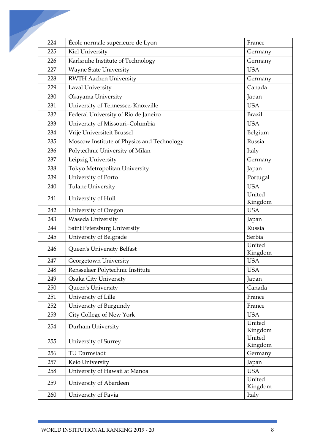| 224 | École normale supérieure de Lyon           | France            |
|-----|--------------------------------------------|-------------------|
| 225 | Kiel University                            | Germany           |
| 226 | Karlsruhe Institute of Technology          | Germany           |
| 227 | <b>Wayne State University</b>              | <b>USA</b>        |
| 228 | <b>RWTH Aachen University</b>              | Germany           |
| 229 | Laval University                           | Canada            |
| 230 | Okayama University                         | Japan             |
| 231 | University of Tennessee, Knoxville         | <b>USA</b>        |
| 232 | Federal University of Rio de Janeiro       | <b>Brazil</b>     |
| 233 | University of Missouri-Columbia            | <b>USA</b>        |
| 234 | Vrije Universiteit Brussel                 | Belgium           |
| 235 | Moscow Institute of Physics and Technology | Russia            |
| 236 | Polytechnic University of Milan            | Italy             |
| 237 | Leipzig University                         | Germany           |
| 238 | Tokyo Metropolitan University              | Japan             |
| 239 | University of Porto                        | Portugal          |
| 240 | <b>Tulane University</b>                   | <b>USA</b>        |
| 241 | University of Hull                         | United            |
|     |                                            | Kingdom           |
| 242 | University of Oregon                       | <b>USA</b>        |
| 243 | Waseda University                          | Japan             |
| 244 | Saint Petersburg University                | Russia            |
| 245 | University of Belgrade                     | Serbia            |
| 246 | Queen's University Belfast                 | United<br>Kingdom |
| 247 | Georgetown University                      | <b>USA</b>        |
| 248 | Rensselaer Polytechnic Institute           | <b>USA</b>        |
| 249 | Osaka City University                      | Japan             |
| 250 | Queen's University                         | Canada            |
| 251 | University of Lille                        | France            |
| 252 | University of Burgundy                     | France            |
| 253 | City College of New York                   | <b>USA</b>        |
| 254 | Durham University                          | United<br>Kingdom |
| 255 | University of Surrey                       | United<br>Kingdom |
| 256 | TU Darmstadt                               | Germany           |
| 257 | Keio University                            | Japan             |
| 258 | University of Hawaii at Manoa              | <b>USA</b>        |
| 259 | University of Aberdeen                     | United<br>Kingdom |
| 260 | University of Pavia                        | Italy             |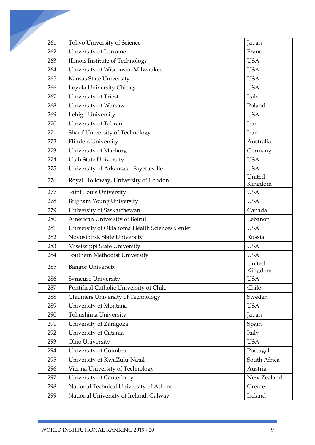| 261 | Tokyo University of Science                   | Japan        |
|-----|-----------------------------------------------|--------------|
| 262 | University of Lorraine                        | France       |
| 263 | Illinois Institute of Technology              | <b>USA</b>   |
| 264 | University of Wisconsin-Milwaukee             | <b>USA</b>   |
| 265 | Kansas State University                       | <b>USA</b>   |
| 266 | Loyola University Chicago                     | <b>USA</b>   |
| 267 | University of Trieste                         | Italy        |
| 268 | University of Warsaw                          | Poland       |
| 269 | Lehigh University                             | <b>USA</b>   |
| 270 | University of Tehran                          | Iran         |
| 271 | Sharif University of Technology               | Iran         |
| 272 | <b>Flinders University</b>                    | Australia    |
| 273 | University of Marburg                         | Germany      |
| 274 | <b>Utah State University</b>                  | <b>USA</b>   |
| 275 | University of Arkansas - Fayetteville         | <b>USA</b>   |
|     |                                               | United       |
| 276 | Royal Holloway, University of London          | Kingdom      |
| 277 | Saint Louis University                        | <b>USA</b>   |
| 278 | <b>Brigham Young University</b>               | <b>USA</b>   |
| 279 | University of Saskatchewan                    | Canada       |
| 280 | American University of Beirut                 | Lebanon      |
| 281 | University of Oklahoma Health Sciences Center | <b>USA</b>   |
| 282 | Novosibirsk State University                  | Russia       |
| 283 | Mississippi State University                  | <b>USA</b>   |
| 284 | Southern Methodist University                 | <b>USA</b>   |
| 285 | <b>Bangor University</b>                      | United       |
|     |                                               | Kingdom      |
| 286 | Syracuse University                           | <b>USA</b>   |
| 287 | Pontifical Catholic University of Chile       | Chile        |
| 288 | Chalmers University of Technology             | Sweden       |
| 289 | University of Montana                         | <b>USA</b>   |
| 290 | Tokushima University                          | Japan        |
| 291 | University of Zaragoza                        | Spain        |
| 292 | University of Catania                         | Italy        |
| 293 | Ohio University                               | <b>USA</b>   |
| 294 | University of Coimbra                         | Portugal     |
| 295 | University of KwaZulu-Natal                   | South Africa |
| 296 | Vienna University of Technology               | Austria      |
| 297 | University of Canterbury                      | New Zealand  |
| 298 | National Technical University of Athens       | Greece       |
| 299 | National University of Ireland, Galway        | Ireland      |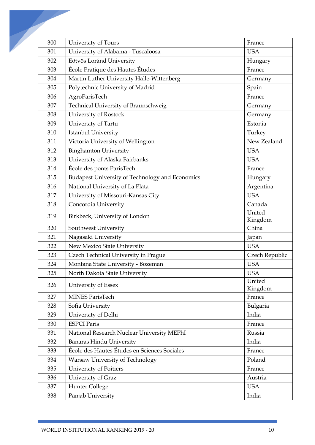| 300 | University of Tours                                    | France            |
|-----|--------------------------------------------------------|-------------------|
| 301 | University of Alabama - Tuscaloosa                     | <b>USA</b>        |
| 302 | Eötvös Loránd University                               | Hungary           |
| 303 | École Pratique des Hautes Études                       | France            |
| 304 | Martin Luther University Halle-Wittenberg              | Germany           |
| 305 | Polytechnic University of Madrid                       | Spain             |
| 306 | AgroParisTech                                          | France            |
| 307 | Technical University of Braunschweig                   | Germany           |
| 308 | University of Rostock                                  | Germany           |
| 309 | University of Tartu                                    | Estonia           |
| 310 | <b>Istanbul University</b>                             | Turkey            |
| 311 | Victoria University of Wellington                      | New Zealand       |
| 312 | <b>Binghamton University</b>                           | <b>USA</b>        |
| 313 | University of Alaska Fairbanks                         | <b>USA</b>        |
| 314 | École des ponts ParisTech                              | France            |
| 315 | <b>Budapest University of Technology and Economics</b> | Hungary           |
| 316 | National University of La Plata                        | Argentina         |
| 317 | University of Missouri-Kansas City                     | <b>USA</b>        |
| 318 | Concordia University                                   | Canada            |
| 319 | Birkbeck, University of London                         | United<br>Kingdom |
| 320 | Southwest University                                   | China             |
| 321 | Nagasaki University                                    | Japan             |
| 322 | New Mexico State University                            | <b>USA</b>        |
| 323 | Czech Technical University in Prague                   | Czech Republic    |
| 324 | Montana State University - Bozeman                     | <b>USA</b>        |
| 325 | North Dakota State University                          | <b>USA</b>        |
| 326 | University of Essex                                    | United<br>Kingdom |
| 327 | <b>MINES ParisTech</b>                                 | France            |
| 328 | Sofia University                                       | Bulgaria          |
| 329 | University of Delhi                                    | India             |
| 330 | <b>ESPCI</b> Paris                                     | France            |
| 331 | National Research Nuclear University MEPhI             | Russia            |
| 332 | <b>Banaras Hindu University</b>                        | India             |
| 333 | École des Hautes Études en Sciences Sociales           | France            |
| 334 | Warsaw University of Technology                        | Poland            |
| 335 | University of Poitiers                                 | France            |
| 336 | University of Graz                                     | Austria           |
| 337 | Hunter College                                         | <b>USA</b>        |
| 338 | Panjab University                                      | India             |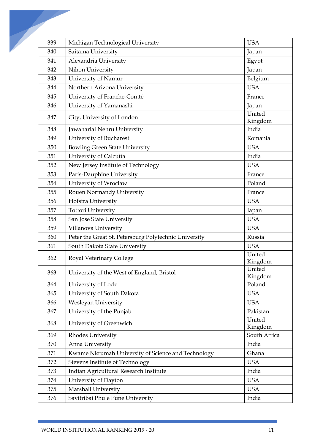| 339 | Michigan Technological University                     | <b>USA</b>        |
|-----|-------------------------------------------------------|-------------------|
| 340 | Saitama University                                    | Japan             |
| 341 | Alexandria University                                 | Egypt             |
| 342 | Nihon University                                      | Japan             |
| 343 | University of Namur                                   | Belgium           |
| 344 | Northern Arizona University                           | <b>USA</b>        |
| 345 | University of Franche-Comté                           | France            |
| 346 | University of Yamanashi                               | Japan             |
| 347 | City, University of London                            | United<br>Kingdom |
| 348 | Jawaharlal Nehru University                           | India             |
| 349 | University of Bucharest                               | Romania           |
| 350 | <b>Bowling Green State University</b>                 | <b>USA</b>        |
| 351 | University of Calcutta                                | India             |
| 352 | New Jersey Institute of Technology                    | <b>USA</b>        |
| 353 | Paris-Dauphine University                             | France            |
| 354 | University of Wrocław                                 | Poland            |
| 355 | Rouen Normandy University                             | France            |
| 356 | Hofstra University                                    | <b>USA</b>        |
| 357 | <b>Tottori University</b>                             | Japan             |
| 358 | San Jose State University                             | <b>USA</b>        |
| 359 | Villanova University                                  | <b>USA</b>        |
| 360 | Peter the Great St. Petersburg Polytechnic University | Russia            |
| 361 | South Dakota State University                         | <b>USA</b>        |
| 362 | <b>Royal Veterinary College</b>                       | United<br>Kingdom |
| 363 | University of the West of England, Bristol            | United<br>Kingdom |
| 364 | University of Lodz                                    | Poland            |
| 365 | University of South Dakota                            | <b>USA</b>        |
| 366 | Wesleyan University                                   | <b>USA</b>        |
| 367 | University of the Punjab                              | Pakistan          |
| 368 | University of Greenwich                               | United<br>Kingdom |
| 369 | Rhodes University                                     | South Africa      |
| 370 | Anna University                                       | India             |
| 371 | Kwame Nkrumah University of Science and Technology    | Ghana             |
| 372 | Stevens Institute of Technology                       | <b>USA</b>        |
| 373 | Indian Agricultural Research Institute                | India             |
| 374 | University of Dayton                                  | <b>USA</b>        |
| 375 | Marshall University                                   | <b>USA</b>        |
| 376 | Savitribai Phule Pune University                      | India             |